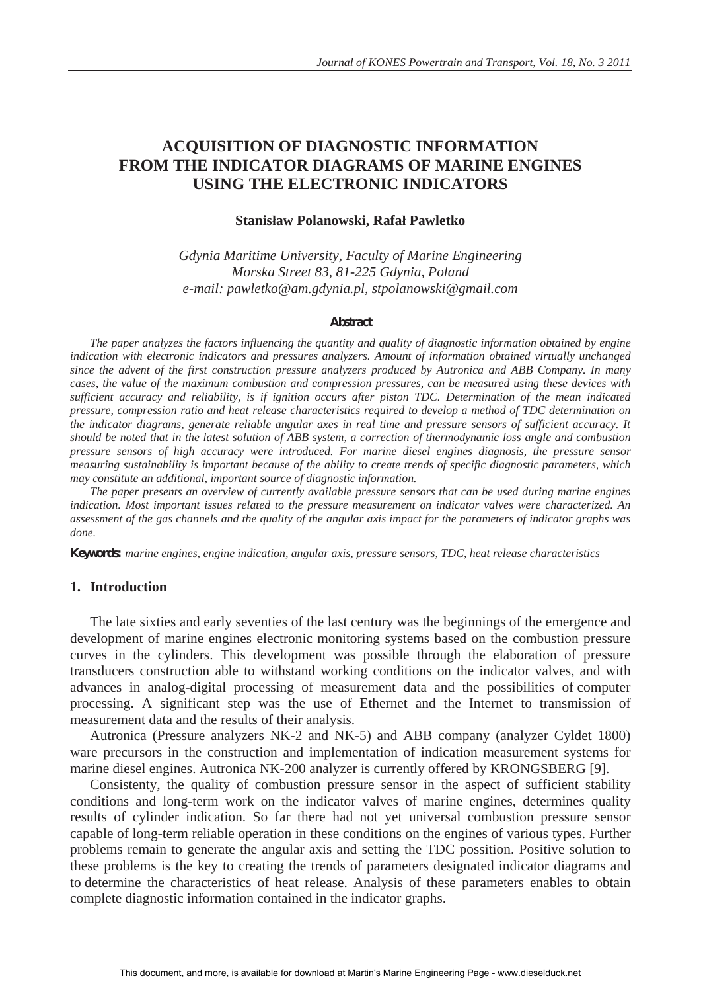# **ACQUISITION OF DIAGNOSTIC INFORMATION FROM THE INDICATOR DIAGRAMS OF MARINE ENGINES USING THE ELECTRONIC INDICATORS**

#### **Stanisáaw Polanowski, Rafaá Pawletko**

*Gdynia Maritime University, Faculty of Marine Engineering Morska Street 83, 81-225 Gdynia, Poland e-mail: pawletko@am.gdynia.pl, stpolanowski@gmail.com* 

#### *Abstract*

*The paper analyzes the factors influencing the quantity and quality of diagnostic information obtained by engine indication with electronic indicators and pressures analyzers. Amount of information obtained virtually unchanged since the advent of the first construction pressure analyzers produced by Autronica and ABB Company. In many cases, the value of the maximum combustion and compression pressures, can be measured using these devices with sufficient accuracy and reliability, is if ignition occurs after piston TDC. Determination of the mean indicated pressure, compression ratio and heat release characteristics required to develop a method of TDC determination on the indicator diagrams, generate reliable angular axes in real time and pressure sensors of sufficient accuracy. It should be noted that in the latest solution of ABB system, a correction of thermodynamic loss angle and combustion pressure sensors of high accuracy were introduced. For marine diesel engines diagnosis, the pressure sensor measuring sustainability is important because of the ability to create trends of specific diagnostic parameters, which may constitute an additional, important source of diagnostic information.*

*The paper presents an overview of currently available pressure sensors that can be used during marine engines indication. Most important issues related to the pressure measurement on indicator valves were characterized. An assessment of the gas channels and the quality of the angular axis impact for the parameters of indicator graphs was done.* 

*Keywords: marine engines, engine indication, angular axis, pressure sensors, TDC, heat release characteristics* 

### **1. Introduction**

The late sixties and early seventies of the last century was the beginnings of the emergence and development of marine engines electronic monitoring systems based on the combustion pressure curves in the cylinders. This development was possible through the elaboration of pressure transducers construction able to withstand working conditions on the indicator valves, and with advances in analog-digital processing of measurement data and the possibilities of computer processing. A significant step was the use of Ethernet and the Internet to transmission of measurement data and the results of their analysis.

Autronica (Pressure analyzers NK-2 and NK-5) and ABB company (analyzer Cyldet 1800) ware precursors in the construction and implementation of indication measurement systems for marine diesel engines. Autronica NK-200 analyzer is currently offered by KRONGSBERG [9].

Consistenty, the quality of combustion pressure sensor in the aspect of sufficient stability conditions and long-term work on the indicator valves of marine engines, determines quality results of cylinder indication. So far there had not yet universal combustion pressure sensor capable of long-term reliable operation in these conditions on the engines of various types. Further problems remain to generate the angular axis and setting the TDC possition. Positive solution to these problems is the key to creating the trends of parameters designated indicator diagrams and to determine the characteristics of heat release. Analysis of these parameters enables to obtain complete diagnostic information contained in the indicator graphs.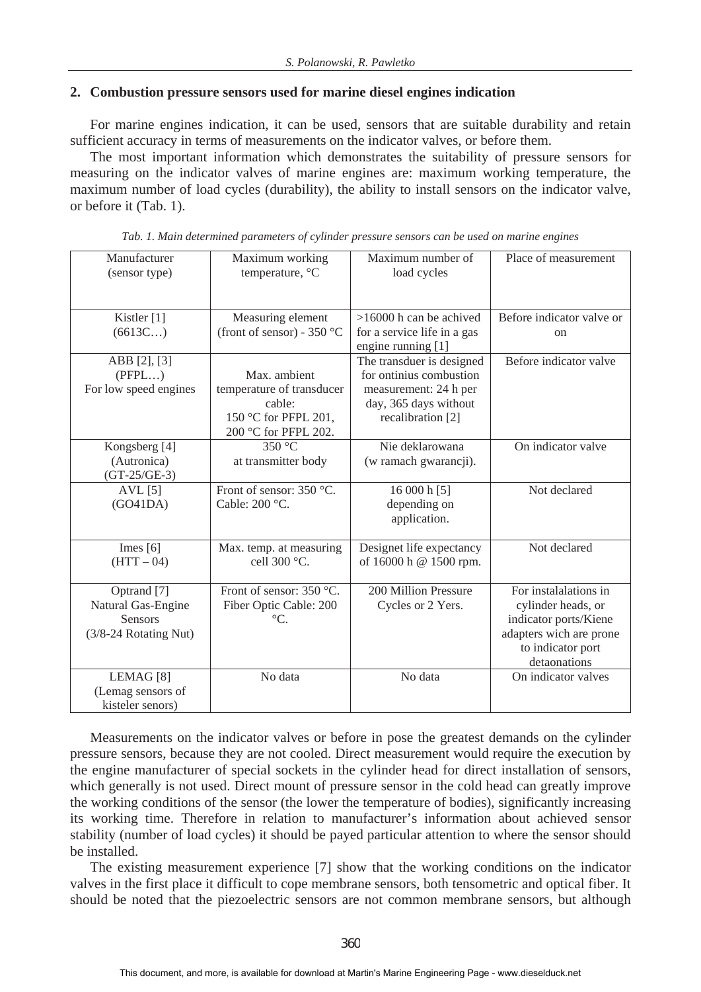# **2. Combustion pressure sensors used for marine diesel engines indication**

For marine engines indication, it can be used, sensors that are suitable durability and retain sufficient accuracy in terms of measurements on the indicator valves, or before them.

The most important information which demonstrates the suitability of pressure sensors for measuring on the indicator valves of marine engines are: maximum working temperature, the maximum number of load cycles (durability), the ability to install sensors on the indicator valve, or before it (Tab. 1).

| Manufacturer<br>(sensor type)             | Maximum working<br>temperature, °C   | Maximum number of<br>load cycles | Place of measurement              |
|-------------------------------------------|--------------------------------------|----------------------------------|-----------------------------------|
|                                           |                                      |                                  |                                   |
|                                           |                                      |                                  |                                   |
| Kistler [1]                               | Measuring element                    | $>16000$ h can be achived        | Before indicator valve or         |
| (6613C)                                   | (front of sensor) - 350 $^{\circ}$ C | for a service life in a gas      | <sub>on</sub>                     |
|                                           |                                      | engine running [1]               |                                   |
| ABB [2], [3]                              |                                      | The transduer is designed        | Before indicator valve            |
| (PFPL)                                    | Max. ambient                         | for ontinius combustion          |                                   |
| For low speed engines                     | temperature of transducer            | measurement: 24 h per            |                                   |
|                                           | cable:                               | day, 365 days without            |                                   |
|                                           | 150 °C for PFPL 201,                 | recalibration [2]                |                                   |
|                                           | 200 °C for PFPL 202.<br>350 °C       | Nie deklarowana                  | On indicator valve                |
| Kongsberg [4]<br>(Autronica)              | at transmitter body                  | (w ramach gwarancji).            |                                   |
| $(GT-25/GE-3)$                            |                                      |                                  |                                   |
| $AVL$ [5]                                 | Front of sensor: 350 °C.             | 16 000 h [5]                     | Not declared                      |
| (GO41DA)                                  | Cable: 200 °C.                       | depending on                     |                                   |
|                                           |                                      | application.                     |                                   |
|                                           |                                      |                                  |                                   |
| Imes $[6]$                                | Max. temp. at measuring              | Designet life expectancy         | Not declared                      |
| $(HTT - 04)$                              | cell 300 °C.                         | of 16000 h @ 1500 rpm.           |                                   |
|                                           |                                      |                                  |                                   |
| Optrand [7]                               | Front of sensor: 350 °C.             | 200 Million Pressure             | For instalalations in             |
| Natural Gas-Engine                        | Fiber Optic Cable: 200               | Cycles or 2 Yers.                | cylinder heads, or                |
| <b>Sensors</b>                            | $\rm{^{\circ}C}$ .                   |                                  | indicator ports/Kiene             |
| (3/8-24 Rotating Nut)                     |                                      |                                  | adapters wich are prone           |
|                                           |                                      |                                  | to indicator port<br>detaonations |
|                                           |                                      |                                  |                                   |
| LEMAG <sup>[8]</sup><br>(Lemag sensors of | No data                              | No data                          | On indicator valves               |
| kisteler senors)                          |                                      |                                  |                                   |
|                                           |                                      |                                  |                                   |

*Tab. 1. Main determined parameters of cylinder pressure sensors can be used on marine engines* 

Measurements on the indicator valves or before in pose the greatest demands on the cylinder pressure sensors, because they are not cooled. Direct measurement would require the execution by the engine manufacturer of special sockets in the cylinder head for direct installation of sensors, which generally is not used. Direct mount of pressure sensor in the cold head can greatly improve the working conditions of the sensor (the lower the temperature of bodies), significantly increasing its working time. Therefore in relation to manufacturer's information about achieved sensor stability (number of load cycles) it should be payed particular attention to where the sensor should be installed.

The existing measurement experience [7] show that the working conditions on the indicator valves in the first place it difficult to cope membrane sensors, both tensometric and optical fiber. It should be noted that the piezoelectric sensors are not common membrane sensors, but although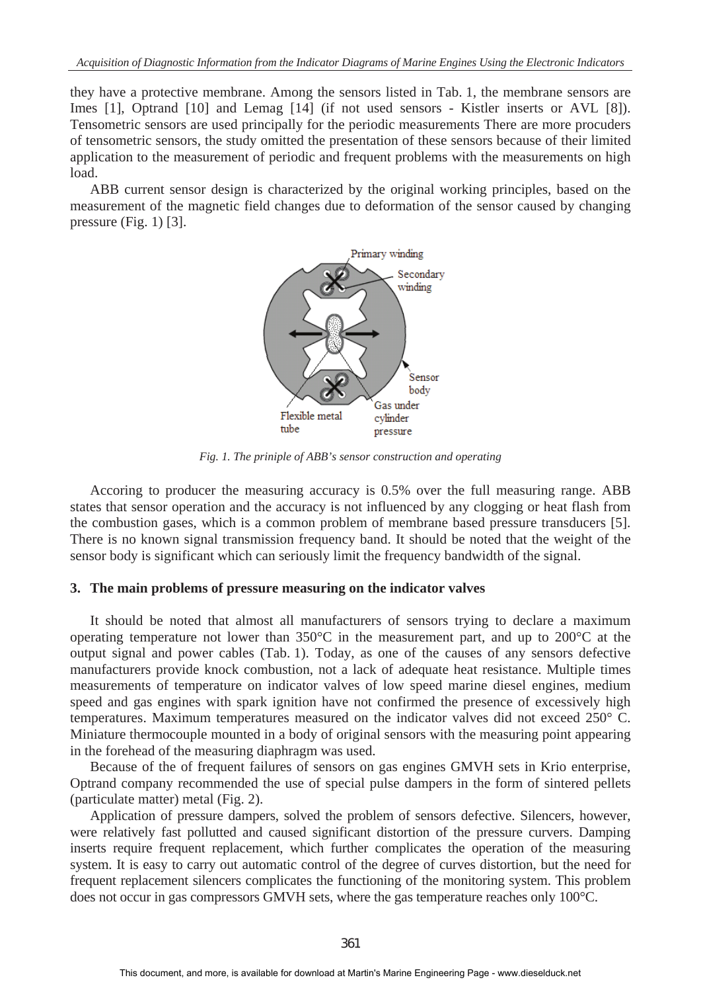they have a protective membrane. Among the sensors listed in Tab. 1, the membrane sensors are Imes [1], Optrand [10] and Lemag [14] (if not used sensors - Kistler inserts or AVL [8]). Tensometric sensors are used principally for the periodic measurements There are more procuders of tensometric sensors, the study omitted the presentation of these sensors because of their limited application to the measurement of periodic and frequent problems with the measurements on high load.

ABB current sensor design is characterized by the original working principles, based on the measurement of the magnetic field changes due to deformation of the sensor caused by changing pressure (Fig. 1) [3].



*Fig. 1. The priniple of ABB's sensor construction and operating*

Accoring to producer the measuring accuracy is 0.5% over the full measuring range. ABB states that sensor operation and the accuracy is not influenced by any clogging or heat flash from the combustion gases, which is a common problem of membrane based pressure transducers [5]. There is no known signal transmission frequency band. It should be noted that the weight of the sensor body is significant which can seriously limit the frequency bandwidth of the signal.

#### **3. The main problems of pressure measuring on the indicator valves**

It should be noted that almost all manufacturers of sensors trying to declare a maximum operating temperature not lower than 350°C in the measurement part, and up to 200°C at the output signal and power cables (Tab. 1). Today, as one of the causes of any sensors defective manufacturers provide knock combustion, not a lack of adequate heat resistance. Multiple times measurements of temperature on indicator valves of low speed marine diesel engines, medium speed and gas engines with spark ignition have not confirmed the presence of excessively high temperatures. Maximum temperatures measured on the indicator valves did not exceed 250° C. Miniature thermocouple mounted in a body of original sensors with the measuring point appearing in the forehead of the measuring diaphragm was used.

Because of the of frequent failures of sensors on gas engines GMVH sets in Krio enterprise, Optrand company recommended the use of special pulse dampers in the form of sintered pellets (particulate matter) metal (Fig. 2).

Application of pressure dampers, solved the problem of sensors defective. Silencers, however, were relatively fast pollutted and caused significant distortion of the pressure curvers. Damping inserts require frequent replacement, which further complicates the operation of the measuring system. It is easy to carry out automatic control of the degree of curves distortion, but the need for frequent replacement silencers complicates the functioning of the monitoring system. This problem does not occur in gas compressors GMVH sets, where the gas temperature reaches only 100°C.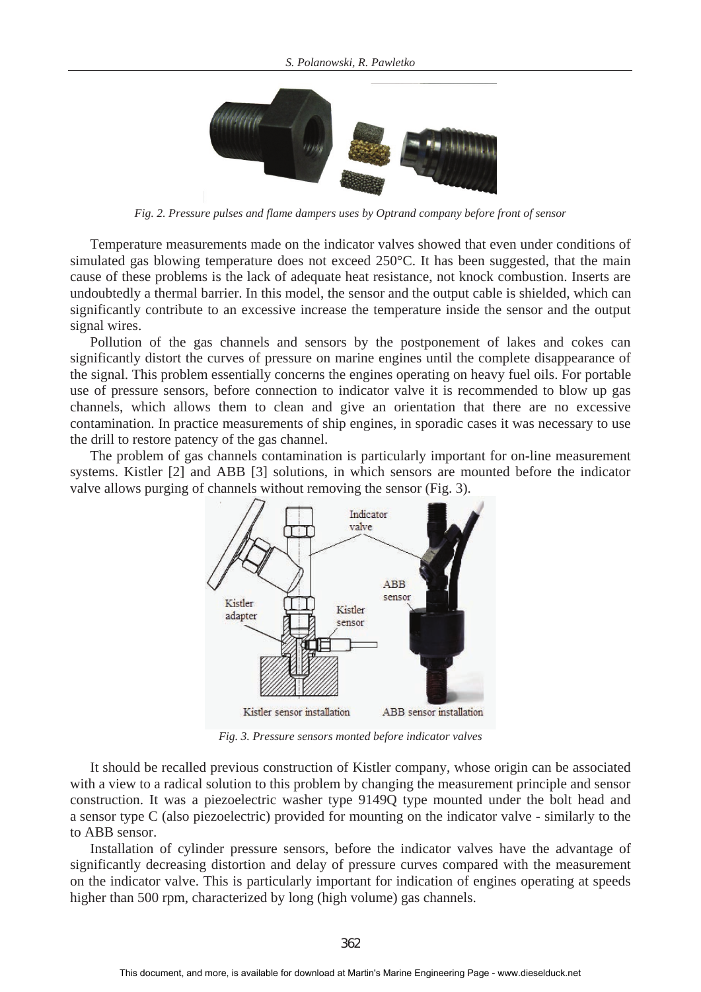

*Fig. 2. Pressure pulses and flame dampers uses by Optrand company before front of sensor*

Temperature measurements made on the indicator valves showed that even under conditions of simulated gas blowing temperature does not exceed 250°C. It has been suggested, that the main cause of these problems is the lack of adequate heat resistance, not knock combustion. Inserts are undoubtedly a thermal barrier. In this model, the sensor and the output cable is shielded, which can significantly contribute to an excessive increase the temperature inside the sensor and the output signal wires.

Pollution of the gas channels and sensors by the postponement of lakes and cokes can significantly distort the curves of pressure on marine engines until the complete disappearance of the signal. This problem essentially concerns the engines operating on heavy fuel oils. For portable use of pressure sensors, before connection to indicator valve it is recommended to blow up gas channels, which allows them to clean and give an orientation that there are no excessive contamination. In practice measurements of ship engines, in sporadic cases it was necessary to use the drill to restore patency of the gas channel.

The problem of gas channels contamination is particularly important for on-line measurement systems. Kistler [2] and ABB [3] solutions, in which sensors are mounted before the indicator valve allows purging of channels without removing the sensor (Fig. 3).



*Fig. 3. Pressure sensors monted before indicator valves*

It should be recalled previous construction of Kistler company, whose origin can be associated with a view to a radical solution to this problem by changing the measurement principle and sensor construction. It was a piezoelectric washer type 9149Q type mounted under the bolt head and a sensor type C (also piezoelectric) provided for mounting on the indicator valve - similarly to the to ABB sensor.

Installation of cylinder pressure sensors, before the indicator valves have the advantage of significantly decreasing distortion and delay of pressure curves compared with the measurement on the indicator valve. This is particularly important for indication of engines operating at speeds higher than 500 rpm, characterized by long (high volume) gas channels.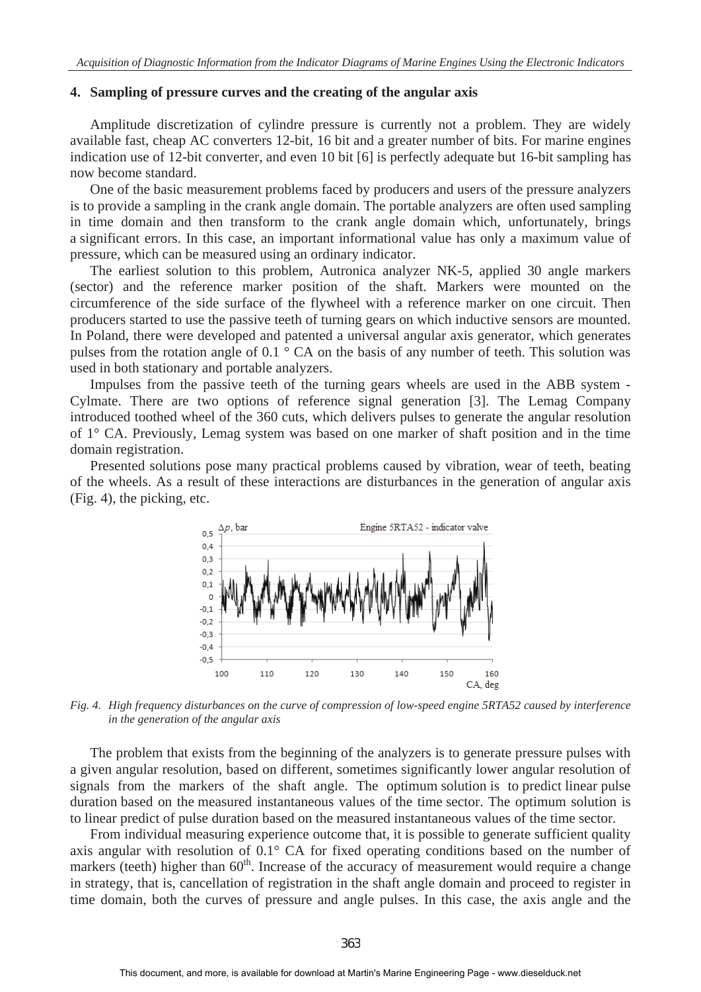#### **4. Sampling of pressure curves and the creating of the angular axis**

Amplitude discretization of cylindre pressure is currently not a problem. They are widely available fast, cheap AC converters 12-bit, 16 bit and a greater number of bits. For marine engines indication use of 12-bit converter, and even 10 bit [6] is perfectly adequate but 16-bit sampling has now become standard.

One of the basic measurement problems faced by producers and users of the pressure analyzers is to provide a sampling in the crank angle domain. The portable analyzers are often used sampling in time domain and then transform to the crank angle domain which, unfortunately, brings a significant errors. In this case, an important informational value has only a maximum value of pressure, which can be measured using an ordinary indicator.

The earliest solution to this problem, Autronica analyzer NK-5, applied 30 angle markers (sector) and the reference marker position of the shaft. Markers were mounted on the circumference of the side surface of the flywheel with a reference marker on one circuit. Then producers started to use the passive teeth of turning gears on which inductive sensors are mounted. In Poland, there were developed and patented a universal angular axis generator, which generates pulses from the rotation angle of 0.1 ° CA on the basis of any number of teeth. This solution was used in both stationary and portable analyzers.

Impulses from the passive teeth of the turning gears wheels are used in the ABB system - Cylmate. There are two options of reference signal generation [3]. The Lemag Company introduced toothed wheel of the 360 cuts, which delivers pulses to generate the angular resolution of 1° CA. Previously, Lemag system was based on one marker of shaft position and in the time domain registration.

Presented solutions pose many practical problems caused by vibration, wear of teeth, beating of the wheels. As a result of these interactions are disturbances in the generation of angular axis (Fig. 4), the picking, etc.



*Fig. 4. High frequency disturbances on the curve of compression of low-speed engine 5RTA52 caused by interference in the generation of the angular axis*

The problem that exists from the beginning of the analyzers is to generate pressure pulses with a given angular resolution, based on different, sometimes significantly lower angular resolution of signals from the markers of the shaft angle. The optimum solution is to predict linear pulse duration based on the measured instantaneous values of the time sector. The optimum solution is to linear predict of pulse duration based on the measured instantaneous values of the time sector.

From individual measuring experience outcome that, it is possible to generate sufficient quality axis angular with resolution of 0.1° CA for fixed operating conditions based on the number of markers (teeth) higher than  $60<sup>th</sup>$ . Increase of the accuracy of measurement would require a change in strategy, that is, cancellation of registration in the shaft angle domain and proceed to register in time domain, both the curves of pressure and angle pulses. In this case, the axis angle and the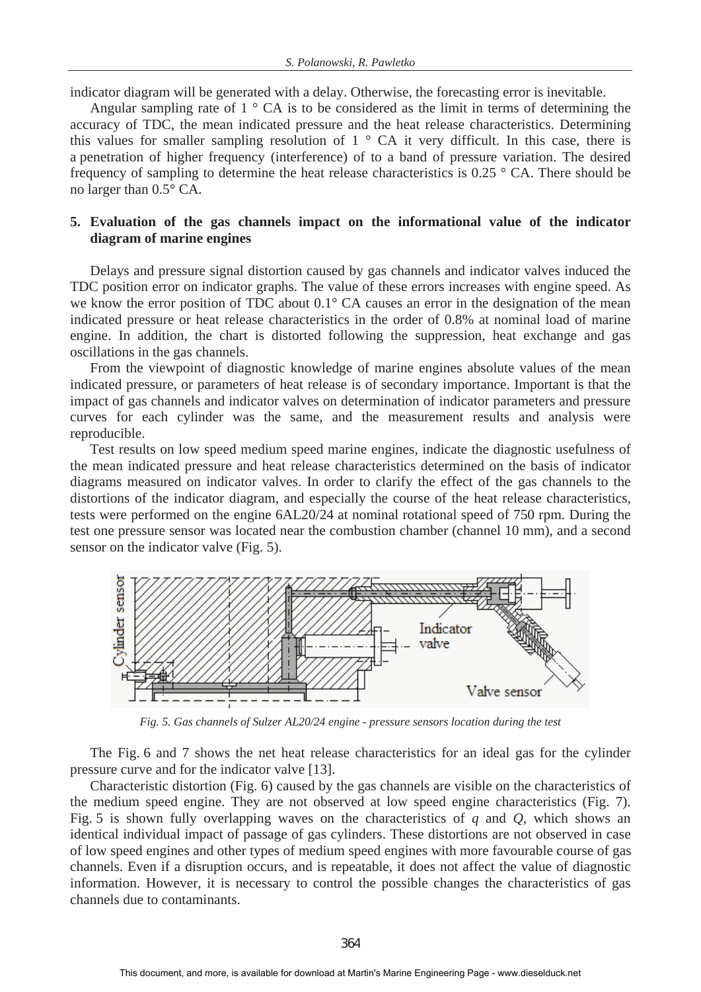indicator diagram will be generated with a delay. Otherwise, the forecasting error is inevitable.

Angular sampling rate of 1 ° CA is to be considered as the limit in terms of determining the accuracy of TDC, the mean indicated pressure and the heat release characteristics. Determining this values for smaller sampling resolution of  $1 \circ CA$  it very difficult. In this case, there is a penetration of higher frequency (interference) of to a band of pressure variation. The desired frequency of sampling to determine the heat release characteristics is 0.25 ° CA. There should be no larger than 0.5° CA.

# **5. Evaluation of the gas channels impact on the informational value of the indicator diagram of marine engines**

Delays and pressure signal distortion caused by gas channels and indicator valves induced the TDC position error on indicator graphs. The value of these errors increases with engine speed. As we know the error position of TDC about 0.1° CA causes an error in the designation of the mean indicated pressure or heat release characteristics in the order of 0.8% at nominal load of marine engine. In addition, the chart is distorted following the suppression, heat exchange and gas oscillations in the gas channels.

From the viewpoint of diagnostic knowledge of marine engines absolute values of the mean indicated pressure, or parameters of heat release is of secondary importance. Important is that the impact of gas channels and indicator valves on determination of indicator parameters and pressure curves for each cylinder was the same, and the measurement results and analysis were reproducible.

Test results on low speed medium speed marine engines, indicate the diagnostic usefulness of the mean indicated pressure and heat release characteristics determined on the basis of indicator diagrams measured on indicator valves. In order to clarify the effect of the gas channels to the distortions of the indicator diagram, and especially the course of the heat release characteristics, tests were performed on the engine 6AL20/24 at nominal rotational speed of 750 rpm. During the test one pressure sensor was located near the combustion chamber (channel 10 mm), and a second sensor on the indicator valve (Fig. 5).



*Fig. 5. Gas channels of Sulzer AL20/24 engine - pressure sensors location during the test* 

The Fig. 6 and 7 shows the net heat release characteristics for an ideal gas for the cylinder pressure curve and for the indicator valve [13].

Characteristic distortion (Fig. 6) caused by the gas channels are visible on the characteristics of the medium speed engine. They are not observed at low speed engine characteristics (Fig. 7). Fig. 5 is shown fully overlapping waves on the characteristics of *q* and *Q*, which shows an identical individual impact of passage of gas cylinders. These distortions are not observed in case of low speed engines and other types of medium speed engines with more favourable course of gas channels. Even if a disruption occurs, and is repeatable, it does not affect the value of diagnostic information. However, it is necessary to control the possible changes the characteristics of gas channels due to contaminants.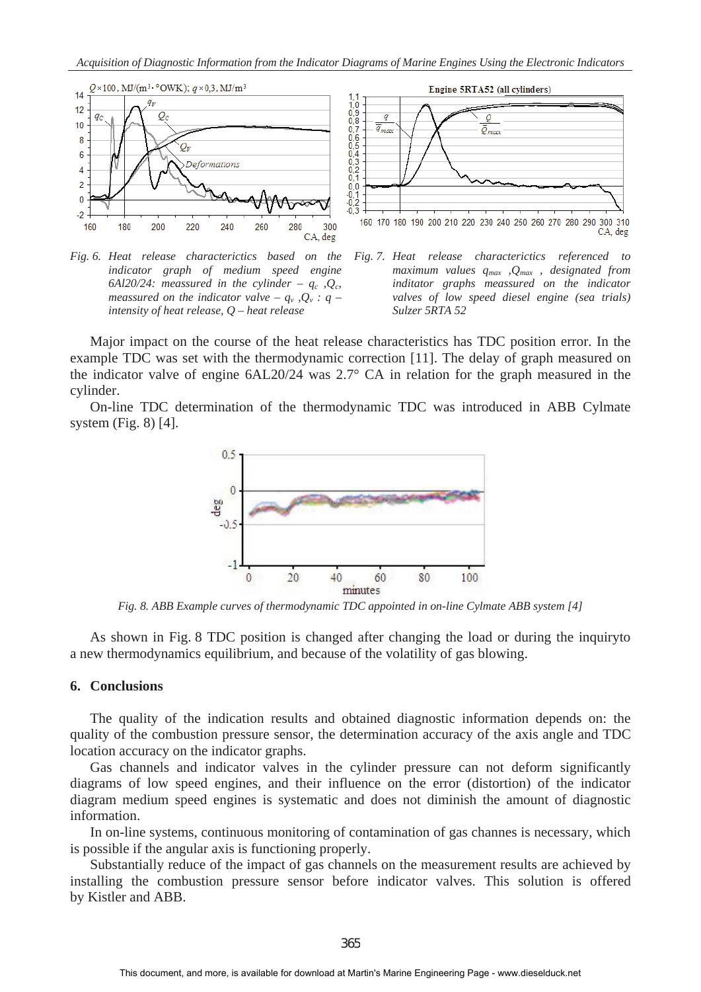

*Fig. 6. Heat release characterictics based on the indicator graph of medium speed engine*  6Al20/24: meassured in the cylinder –  $q_c$ ,  $Q_c$ , *meassured on the indicator valve –*  $q_v$ *,*  $Q_v$  *: q – intensity of heat release, Q – heat release* 



Major impact on the course of the heat release characteristics has TDC position error. In the example TDC was set with the thermodynamic correction [11]. The delay of graph measured on the indicator valve of engine 6AL20/24 was 2.7° CA in relation for the graph measured in the cylinder.

On-line TDC determination of the thermodynamic TDC was introduced in ABB Cylmate system (Fig. 8) [4].



*Fig. 8. ABB Example curves of thermodynamic TDC appointed in on-line Cylmate ABB system [4]* 

As shown in Fig. 8 TDC position is changed after changing the load or during the inquiryto a new thermodynamics equilibrium, and because of the volatility of gas blowing.

## **6. Conclusions**

The quality of the indication results and obtained diagnostic information depends on: the quality of the combustion pressure sensor, the determination accuracy of the axis angle and TDC location accuracy on the indicator graphs.

Gas channels and indicator valves in the cylinder pressure can not deform significantly diagrams of low speed engines, and their influence on the error (distortion) of the indicator diagram medium speed engines is systematic and does not diminish the amount of diagnostic information.

In on-line systems, continuous monitoring of contamination of gas channes is necessary, which is possible if the angular axis is functioning properly.

Substantially reduce of the impact of gas channels on the measurement results are achieved by installing the combustion pressure sensor before indicator valves. This solution is offered by Kistler and ABB.